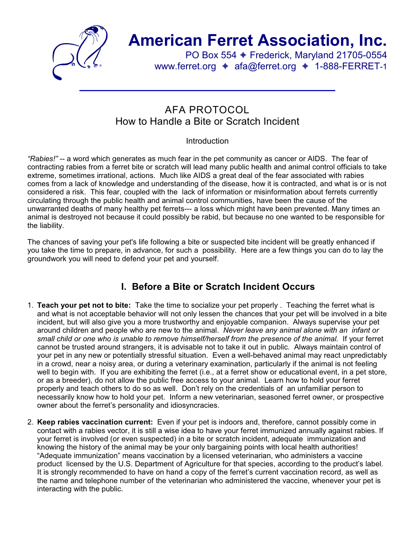

# **American Ferret Association, Inc.**

PO Box 554 ♦ Frederick, Maryland 21705-0554 www.ferret.org  $\triangleleft$  afa@ferret.org  $\triangleleft$  1-888-FERRET-1

# AFA PROTOCOL How to Handle a Bite or Scratch Incident

## **Introduction**

*"Rabies!" --* a word which generates as much fear in the pet community as cancer or AIDS. The fear of contracting rabies from a ferret bite or scratch will lead many public health and animal control officials to take extreme, sometimes irrational, actions. Much like AIDS a great deal of the fear associated with rabies comes from a lack of knowledge and understanding of the disease, how it is contracted, and what is or is not considered a risk. This fear, coupled with the lack of information or misinformation about ferrets currently circulating through the public health and animal control communities, have been the cause of the unwarranted deaths of many healthy pet ferrets--- a loss which might have been prevented. Many times an animal is destroyed not because it could possibly be rabid, but because no one wanted to be responsible for the liability.

The chances of saving your pet's life following a bite or suspected bite incident will be greatly enhanced if you take the time to prepare, in advance, for such a possibility. Here are a few things you can do to lay the groundwork you will need to defend your pet and yourself.

# **I. Before a Bite or Scratch Incident Occurs**

- 1. **Teach your pet not to bite:** Take the time to socialize your pet properly . Teaching the ferret what is and what is not acceptable behavior will not only lessen the chances that your pet will be involved in a bite incident, but will also give you a more trustworthy and enjoyable companion. Always supervise your pet around children and people who are new to the animal. *Never leave any animal alone with an infant or small child or one who is unable to remove himself/herself from the presence of the animal.* If your ferret cannot be trusted around strangers, it is advisable not to take it out in public. Always maintain control of your pet in any new or potentially stressful situation. Even a well-behaved animal may react unpredictably in a crowd, near a noisy area, or during a veterinary examination, particularly if the animal is not feeling well to begin with. If you are exhibiting the ferret (i.e., at a ferret show or educational event, in a pet store, or as a breeder), do not allow the public free access to your animal. Learn how to hold your ferret properly and teach others to do so as well. Don't rely on the credentials of an unfamiliar person to necessarily know how to hold your pet. Inform a new veterinarian, seasoned ferret owner, or prospective owner about the ferret's personality and idiosyncracies.
- 2. **Keep rabies vaccination current:** Even if your pet is indoors and, therefore, cannot possibly come in contact with a rabies vector, it is still a wise idea to have your ferret immunized annually against rabies. If your ferret is involved (or even suspected) in a bite or scratch incident, adequate immunization and knowing the history of the animal may be your only bargaining points with local health authorities! "Adequate immunization" means vaccination by a licensed veterinarian, who administers a vaccine product licensed by the U.S. Department of Agriculture for that species, according to the product's label. It is strongly recommended to have on hand a copy of the ferret's current vaccination record, as well as the name and telephone number of the veterinarian who administered the vaccine, whenever your pet is interacting with the public.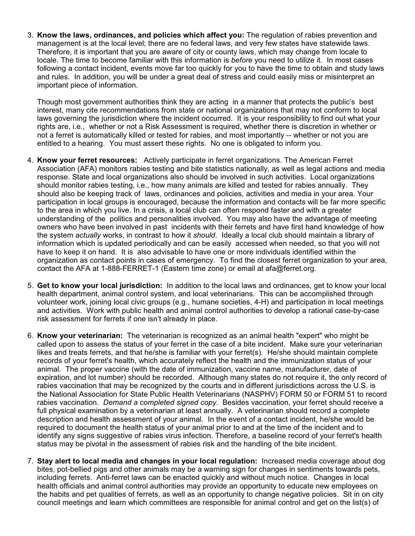3. **Know the laws, ordinances, and policies which affect you:** The regulation of rabies prevention and management is at the local level; there are no federal laws, and very few states have statewide laws. Therefore, it is important that you are aware of city or county laws, which may change from locale to locale. The time to become familiar with this information is *before* you need to utilize it. In most cases following a contact incident, events move far too quickly for you to have the time to obtain and study laws and rules. In addition, you will be under a great deal of stress and could easily miss or misinterpret an important piece of information.

Though most government authorities think they are acting in a manner that protects the public's best interest, many cite recommendations from state or national organizations that may not conform to local laws governing the jurisdiction where the incident occurred. It is your responsibility to find out what your rights are, i.e., whether or not a Risk Assessment is required, whether there is discretion in whether or not a ferret is automatically killed or tested for rabies, and most importantly -- whether or not you are entitled to a hearing. You must assert these rights. No one is obligated to inform you.

- 4. **Know your ferret resources:** Actively participate in ferret organizations. The American Ferret Association (AFA) monitors rabies testing and bite statistics nationally, as well as legal actions and media response. State and local organizations also should be involved in such activities. Local organizations should monitor rabies testing, i.e., how many animals are killed and tested for rabies annually. They should also be keeping track of laws, ordinances and policies, activities and media in your area. Your participation in local groups is encouraged, because the information and contacts will be far more specific to the area in which you live. In a crisis, a local club can often respond faster and with a greater understanding of the politics and personalities involved. You may also have the advantage of meeting owners who have been involved in past incidents with their ferrets and have first hand knowledge of how the system *actually* works, in contrast to how it *should*. Ideally a local club should maintain a library of information which is updated periodically and can be easily accessed when needed, so that you will not have to keep it on hand. It is also advisable to have one or more individuals identified within the organization as contact points in cases of emergency. To find the closest ferret organization to your area, contact the AFA at 1-888-FERRET-1 (Eastern time zone) or email at afa@ferret.org.
- 5. **Get to know your local jurisdiction:** In addition to the local laws and ordinances, get to know your local health department, animal control system, and local veterinarians. This can be accomplished through volunteer work, joining local civic groups (e.g., humane societies, 4-H) and participation in local meetings and activities. Work with public health and animal control authorities to develop a rational case-by-case risk assessment for ferrets if one isn't already in place.
- 6. **Know your veterinarian:** The veterinarian is recognized as an animal health "expert" who might be called upon to assess the status of your ferret in the case of a bite incident. Make sure your veterinarian likes and treats ferrets, and that he/she is familiar with your ferret(s). He/she should maintain complete records of your ferret's health, which accurately reflect the health and the immunization status of your animal. The proper vaccine (with the date of immunization, vaccine name, manufacturer, date of expiration, and lot number) should be recorded. Although many states do not require it, the only record of rabies vaccination that may be recognized by the courts and in different jurisdictions across the U.S. is the National Association for State Public Health Veterinarians (NASPHV) FORM 50 or FORM 51 to record rabies vaccination. *Demand a completed signed copy*. Besides vaccination, your ferret should receive a full physical examination by a veterinarian at least annually. A veterinarian should record a complete description and health assessment of your animal. In the event of a contact incident, he/she would be required to document the health status of your animal prior to and at the time of the incident and to identify any signs suggestive of rabies virus infection. Therefore, a baseline record of your ferret's health status may be pivotal in the assessment of rabies risk and the handling of the bite incident.
- 7. **Stay alert to local media and changes in your local regulation:** Increased media coverage about dog bites, pot-bellied pigs and other animals may be a warning sign for changes in sentiments towards pets, including ferrets. Anti-ferret laws can be enacted quickly and without much notice. Changes in local health officials and animal control authorities may provide an opportunity to educate new employees on the habits and pet qualities of ferrets, as well as an opportunity to change negative policies. Sit in on city council meetings and learn which committees are responsible for animal control and get on the list(s) of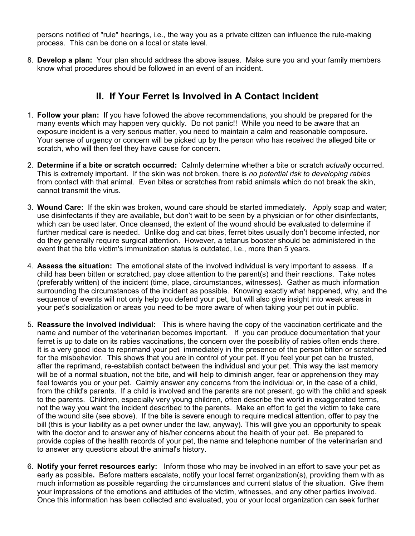persons notified of "rule" hearings, i.e., the way you as a private citizen can influence the rule-making process. This can be done on a local or state level.

8. **Develop a plan:** Your plan should address the above issues. Make sure you and your family members know what procedures should be followed in an event of an incident.

# **II. If Your Ferret Is Involved in A Contact Incident**

- 1. **Follow your plan:** If you have followed the above recommendations, you should be prepared for the many events which may happen very quickly. Do not panic!! While you need to be aware that an exposure incident is a very serious matter, you need to maintain a calm and reasonable composure. Your sense of urgency or concern will be picked up by the person who has received the alleged bite or scratch, who will then feel they have cause for concern.
- 2. **Determine if a bite or scratch occurred:** Calmly determine whether a bite or scratch *actually* occurred. This is extremely important. If the skin was not broken, there is *no potential risk to developing rabies* from contact with that animal. Even bites or scratches from rabid animals which do not break the skin, cannot transmit the virus.
- 3. **Wound Care:** If the skin was broken, wound care should be started immediately. Apply soap and water; use disinfectants if they are available, but don't wait to be seen by a physician or for other disinfectants, which can be used later. Once cleansed, the extent of the wound should be evaluated to determine if further medical care is needed. Unlike dog and cat bites, ferret bites usually don't become infected, nor do they generally require surgical attention. However, a tetanus booster should be administered in the event that the bite victim's immunization status is outdated, i.e., more than 5 years.
- 4. **Assess the situation:** The emotional state of the involved individual is very important to assess. If a child has been bitten or scratched, pay close attention to the parent(s) and their reactions. Take notes (preferably written) of the incident (time, place, circumstances, witnesses). Gather as much information surrounding the circumstances of the incident as possible. Knowing exactly what happened, why, and the sequence of events will not only help you defend your pet, but will also give insight into weak areas in your pet's socialization or areas you need to be more aware of when taking your pet out in public.
- 5. **Reassure the involved individual:** This is where having the copy of the vaccination certificate and the name and number of the veterinarian becomes important. If you can produce documentation that your ferret is up to date on its rabies vaccinations, the concern over the possibility of rabies often ends there. It is a very good idea to reprimand your pet immediately in the presence of the person bitten or scratched for the misbehavior. This shows that you are in control of your pet. If you feel your pet can be trusted, after the reprimand, re-establish contact between the individual and your pet. This way the last memory will be of a normal situation, not the bite, and will help to diminish anger, fear or apprehension they may feel towards you or your pet. Calmly answer any concerns from the individual or, in the case of a child, from the child's parents. If a child is involved and the parents are not present, go with the child and speak to the parents. Children, especially very young children, often describe the world in exaggerated terms, not the way you want the incident described to the parents. Make an effort to get the victim to take care of the wound site (see above). If the bite is severe enough to require medical attention, offer to pay the bill (this is your liability as a pet owner under the law, anyway). This will give you an opportunity to speak with the doctor and to answer any of his/her concerns about the health of your pet. Be prepared to provide copies of the health records of your pet, the name and telephone number of the veterinarian and to answer any questions about the animal's history.
- 6. **Notify your ferret resources early:** Inform those who may be involved in an effort to save your pet as early as possible**.** Before matters escalate, notify your local ferret organization(s), providing them with as much information as possible regarding the circumstances and current status of the situation. Give them your impressions of the emotions and attitudes of the victim, witnesses, and any other parties involved. Once this information has been collected and evaluated, you or your local organization can seek further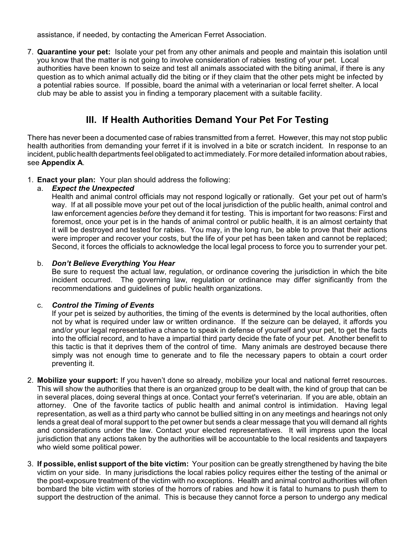assistance, if needed, by contacting the American Ferret Association.

7. **Quarantine your pet:** Isolate your pet from any other animals and people and maintain this isolation until you know that the matter is not going to involve consideration of rabies testing of your pet. Local authorities have been known to seize and test all animals associated with the biting animal, if there is any question as to which animal actually did the biting or if they claim that the other pets might be infected by a potential rabies source. If possible, board the animal with a veterinarian or local ferret shelter. A local club may be able to assist you in finding a temporary placement with a suitable facility.

# **III. If Health Authorities Demand Your Pet For Testing**

There has never been a documented case of rabies transmitted from a ferret. However, this may not stop public health authorities from demanding your ferret if it is involved in a bite or scratch incident. In response to an incident, public health departments feel obligated to act immediately. For more detailed information about rabies, see **Appendix A**.

#### 1. **Enact your plan:** Your plan should address the following:

#### a. *Expect the Unexpected*

Health and animal control officials may not respond logically or rationally. Get your pet out of harm's way. If at all possible move your pet out of the local jurisdiction of the public health, animal control and law enforcement agencies *before* they demand it for testing. This is important for two reasons: First and foremost, once your pet is in the hands of animal control or public health, it is an almost certainty that it will be destroyed and tested for rabies. You may, in the long run, be able to prove that their actions were improper and recover your costs, but the life of your pet has been taken and cannot be replaced; Second, it forces the officials to acknowledge the local legal process to force you to surrender your pet.

#### b. *Don't Believe Everything You Hear*

Be sure to request the actual law, regulation, or ordinance covering the jurisdiction in which the bite incident occurred. The governing law, regulation or ordinance may differ significantly from the recommendations and guidelines of public health organizations.

#### c. *Control the Timing of Events*

If your pet is seized by authorities, the timing of the events is determined by the local authorities, often not by what is required under law or written ordinance. If the seizure can be delayed, it affords you and/or your legal representative a chance to speak in defense of yourself and your pet, to get the facts into the official record, and to have a impartial third party decide the fate of your pet. Another benefit to this tactic is that it deprives them of the control of time. Many animals are destroyed because there simply was not enough time to generate and to file the necessary papers to obtain a court order preventing it.

- 2. **Mobilize your support:** If you haven't done so already, mobilize your local and national ferret resources. This will show the authorities that there is an organized group to be dealt with, the kind of group that can be in several places, doing several things at once. Contact your ferret's veterinarian. If you are able, obtain an attorney. One of the favorite tactics of public health and animal control is intimidation. Having legal representation, as well as a third party who cannot be bullied sitting in on any meetings and hearings not only lends a great deal of moral support to the pet owner but sends a clear message that you will demand all rights and considerations under the law. Contact your elected representatives. It will impress upon the local jurisdiction that any actions taken by the authorities will be accountable to the local residents and taxpayers who wield some political power.
- 3. **If possible, enlist support of the bite victim:** Your position can be greatly strengthened by having the bite victim on your side. In many jurisdictions the local rabies policy requires either the testing of the animal or the post-exposure treatment of the victim with no exceptions. Health and animal control authorities will often bombard the bite victim with stories of the horrors of rabies and how it is fatal to humans to push them to support the destruction of the animal. This is because they cannot force a person to undergo any medical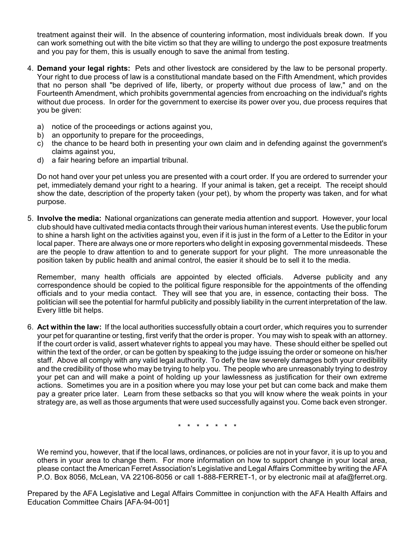treatment against their will. In the absence of countering information, most individuals break down. If you can work something out with the bite victim so that they are willing to undergo the post exposure treatments and you pay for them, this is usually enough to save the animal from testing.

- 4. **Demand your legal rights:** Pets and other livestock are considered by the law to be personal property. Your right to due process of law is a constitutional mandate based on the Fifth Amendment, which provides that no person shall "be deprived of life, liberty, or property without due process of law," and on the Fourteenth Amendment, which prohibits governmental agencies from encroaching on the individual's rights without due process. In order for the government to exercise its power over you, due process requires that you be given:
	- a) notice of the proceedings or actions against you,
	- b) an opportunity to prepare for the proceedings,
	- c) the chance to be heard both in presenting your own claim and in defending against the government's claims against you,
	- d) a fair hearing before an impartial tribunal.

Do not hand over your pet unless you are presented with a court order. If you are ordered to surrender your pet, immediately demand your right to a hearing. If your animal is taken, get a receipt. The receipt should show the date, description of the property taken (your pet), by whom the property was taken, and for what purpose.

5. **Involve the media:** National organizations can generate media attention and support. However, your local club should have cultivated media contacts through their various human interest events. Use the public forum to shine a harsh light on the activities against you, even if it is just in the form of a Letter to the Editor in your local paper. There are always one or more reporters who delight in exposing governmental misdeeds. These are the people to draw attention to and to generate support for your plight. The more unreasonable the position taken by public health and animal control, the easier it should be to sell it to the media.

Remember, many health officials are appointed by elected officials. Adverse publicity and any correspondence should be copied to the political figure responsible for the appointments of the offending officials and to your media contact. They will see that you are, in essence, contacting their boss. The politician will see the potential for harmful publicity and possibly liability in the current interpretation of the law. Every little bit helps.

6. **Act within the law:** If the local authorities successfully obtain a court order, which requires you to surrender your pet for quarantine or testing, first verify that the order is proper. You may wish to speak with an attorney. If the court order is valid, assert whatever rights to appeal you may have. These should either be spelled out within the text of the order, or can be gotten by speaking to the judge issuing the order or someone on his/her staff. Above all comply with any valid legal authority. To defy the law severely damages both your credibility and the credibility of those who may be trying to help you. The people who are unreasonably trying to destroy your pet can and will make a point of holding up your lawlessness as justification for their own extreme actions. Sometimes you are in a position where you may lose your pet but can come back and make them pay a greater price later. Learn from these setbacks so that you will know where the weak points in your strategy are, as well as those arguments that were used successfully against you. Come back even stronger.

\* \* \* \* \* \* \*

We remind you, however, that if the local laws, ordinances, or policies are not in your favor, it is up to you and others in your area to change them. For more information on how to support change in your local area, please contact the American Ferret Association's Legislative and Legal Affairs Committee by writing the AFA P.O. Box 8056, McLean, VA 22106-8056 or call 1-888-FERRET-1, or by electronic mail at afa@ferret.org.

Prepared by the AFA Legislative and Legal Affairs Committee in conjunction with the AFA Health Affairs and Education Committee Chairs [AFA-94-001]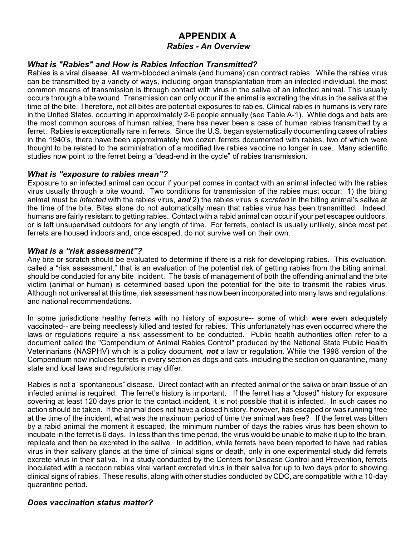# **APPENDIX A** *Rabies - An Overview*

#### *What is "Rabies" and How is Rabies Infection Transmitted?*

Rabies is a viral disease. All warm-blooded animals (and humans) can contract rabies. While the rabies virus can be transmitted by a variety of ways, including organ transplantation from an infected individual, the most common means of transmission is through contact with virus in the saliva of an infected animal. This usually occurs through a bite wound. Transmission can only occur if the animal is excreting the virus in the saliva at the time of the bite. Therefore, not all bites are potential exposures to rabies. Clinical rabies in humans is very rare in the United States, occurring in approximately 2-6 people annually (see Table A-1). While dogs and bats are the most common sources of human rabies, there has never been a case of human rabies transmitted by a ferret. Rabies is exceptionally rare in ferrets. Since the U.S. began systematically documenting cases of rabies in the 1940's, there have been approximately two dozen ferrets documented with rabies, two of which were thought to be related to the administration of a modified live rabies vaccine no longer in use. Many scientific studies now point to the ferret being a "dead-end in the cycle" of rabies transmission.

#### *What is "exposure to rabies mean"?*

Exposure to an infected animal can occur if your pet comes in contact with an animal infected with the rabies virus usually through a bite wound. Two conditions for transmission of the rabies must occur: 1) the biting animal must be *infected* with the rabies virus, *and* 2) the rabies virus is *excreted* in the biting animal's saliva at the time of the bite. Bites alone do not automatically mean that rabies virus has been transmitted. Indeed, humans are fairly resistant to getting rabies. Contact with a rabid animal can occur if your pet escapes outdoors, or is left unsupervised outdoors for any length of time. For ferrets, contact is usually unlikely, since most pet ferrets are housed indoors and, once escaped, do not survive well on their own.

#### *What is a "risk assessment"?*

Any bite or scratch should be evaluated to determine if there is a risk for developing rabies. This evaluation, called a "risk assessment," that is an evaluation of the potential risk of getting rabies from the biting animal, should be conducted for any bite incident. The basis of management of both the offending animal and the bite victim (animal or human) is determined based upon the potential for the bite to transmit the rabies virus. Although not universal at this time, risk assessment has now been incorporated into many laws and regulations, and national recommendations.

In some jurisdictions healthy ferrets with no history of exposure-- some of which were even adequately vaccinated-- are being needlessly killed and tested for rabies. This unfortunately has even occurred where the laws or regulations require a risk assessment to be conducted. Public health authorities often refer to a document called the "Compendium of Animal Rabies Control" produced by the National State Public Health Veterinarians (NASPHV) which is a policy document, *not* a law or regulation. While the 1998 version of the Compendium now includes ferrets in every section as dogs and cats, including the section on quarantine, many state and local laws and regulations may differ.

Rabies is not a "spontaneous" disease. Direct contact with an infected animal or the saliva or brain tissue of an infected animal is required. The ferret's history is important. If the ferret has a "closed" history for exposure covering at least 120 days prior to the contact incident, it is not possible that it is infected. In such cases no action should be taken. If the animal does not have a closed history, however, has escaped or was running free at the time of the incident, what was the maximum period of time the animal was free? If the ferret was bitten by a rabid animal the moment it escaped, the minimum number of days the rabies virus has been shown to incubate in the ferret is 6 days. In less than this time period, the virus would be unable to make it up to the brain, replicate and then be excreted in the saliva. In addition, while ferrets have been reported to have had rabies virus in their salivary glands at the time of clinical signs or death, only in one experimental study did ferrets excrete virus in their saliva. In a study conducted by the Centers for Disease Control and Prevention, ferrets inoculated with a raccoon rabies viral variant excreted virus in their saliva for up to two days prior to showing clinical signs of rabies. These results, along with other studies conducted by CDC, are compatible with a 10-day quarantine period.

#### *Does vaccination status matter?*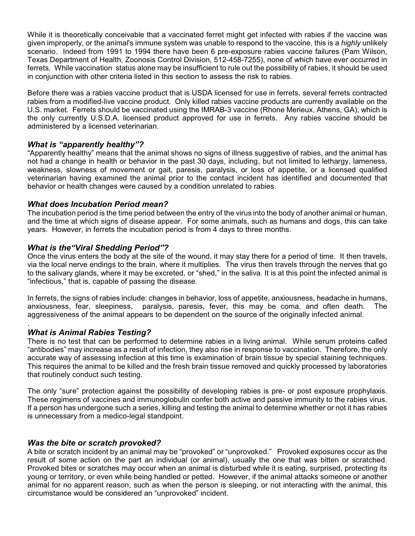While it is theoretically conceivable that a vaccinated ferret might get infected with rabies if the vaccine was given improperly, or the animal's immune system was unable to respond to the vaccine, this is a *highly* unlikely scenario. Indeed from 1991 to 1994 there have been 6 pre-exposure rabies vaccine failures (Pam Wilson, Texas Department of Health, Zoonosis Control Division, 512-458-7255), none of which have ever occurred in ferrets. While vaccination status alone may be insufficient to rule out the possibility of rabies, it should be used in conjunction with other criteria listed in this section to assess the risk to rabies.

Before there was a rabies vaccine product that is USDA licensed for use in ferrets, several ferrets contracted rabies from a modified-live vaccine product. Only killed rabies vaccine products are currently available on the U.S. market. Ferrets should be vaccinated using the IMRAB-3 vaccine (Rhone Merieux, Athens, GA), which is the only currently U.S.D.A. licensed product approved for use in ferrets. Any rabies vaccine should be administered by a licensed veterinarian.

#### *What is "apparently healthy"?*

"Apparently healthy" means that the animal shows no signs of illness suggestive of rabies, and the animal has not had a change in health or behavior in the past 30 days, including, but not limited to lethargy, lameness, weakness, slowness of movement or gait, paresis, paralysis, or loss of appetite, or a licensed qualified veterinarian having examined the animal prior to the contact incident has identified and documented that behavior or health changes were caused by a condition unrelated to rabies.

#### *What does Incubation Period mean?*

The incubation period is the time period between the entry of the virus into the body of another animal or human, and the time at which signs of disease appear. For some animals, such as humans and dogs, this can take years. However, in ferrets the incubation period is from 4 days to three months.

#### *What is the"Viral Shedding Period"?*

Once the virus enters the body at the site of the wound, it may stay there for a period of time. It then travels, via the local nerve endings to the brain, where it multiplies. The virus then travels through the nerves that go to the salivary glands, where it may be excreted, or "shed," in the saliva. It is at this point the infected animal is "infectious," that is, capable of passing the disease.

In ferrets, the signs of rabies include: changes in behavior, loss of appetite, anxiousness, headache in humans, anxiousness, fear, sleepiness, paralysis, paresis, fever, this may be coma, and often death. The aggressiveness of the animal appears to be dependent on the source of the originally infected animal.

#### . *What is Animal Rabies Testing?*

There is no test that can be performed to determine rabies in a living animal. While serum proteins called "antibodies" may increase as a result of infection, they also rise in response to vaccination. Therefore, the only accurate way of assessing infection at this time is examination of brain tissue by special staining techniques. This requires the animal to be killed and the fresh brain tissue removed and quickly processed by laboratories that routinely conduct such testing.

The only "sure" protection against the possibility of developing rabies is pre- or post exposure prophylaxis. These regimens of vaccines and immunoglobulin confer both active and passive immunity to the rabies virus. If a person has undergone such a series, killing and testing the animal to determine whether or not it has rabies is unnecessary from a medico-legal standpoint.

#### *Was the bite or scratch provoked?*

A bite or scratch incident by an animal may be "provoked" or "unprovoked." Provoked exposures occur as the result of some action on the part an individual (or animal), usually the one that was bitten or scratched. Provoked bites or scratches may occur when an animal is disturbed while it is eating, surprised, protecting its young or territory, or even while being handled or petted. However, if the animal attacks someone or another animal for no apparent reason, such as when the person is sleeping, or not interacting with the animal, this circumstance would be considered an "unprovoked" incident.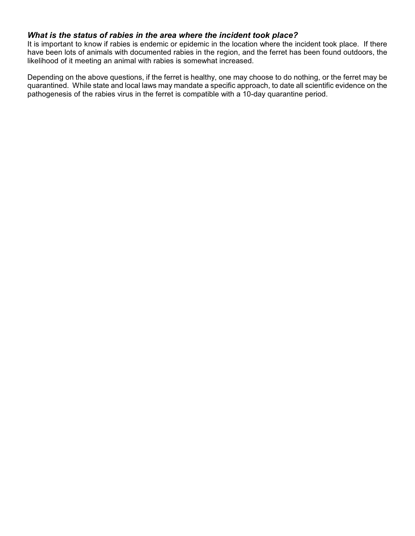#### *What is the status of rabies in the area where the incident took place?*

It is important to know if rabies is endemic or epidemic in the location where the incident took place. If there have been lots of animals with documented rabies in the region, and the ferret has been found outdoors, the likelihood of it meeting an animal with rabies is somewhat increased.

Depending on the above questions, if the ferret is healthy, one may choose to do nothing, or the ferret may be quarantined. While state and local laws may mandate a specific approach, to date all scientific evidence on the pathogenesis of the rabies virus in the ferret is compatible with a 10-day quarantine period.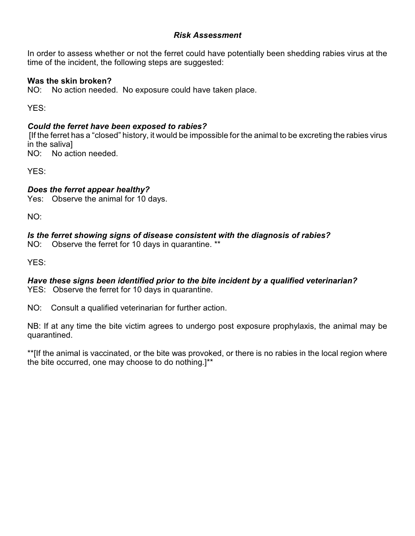## *Risk Assessment*

In order to assess whether or not the ferret could have potentially been shedding rabies virus at the time of the incident, the following steps are suggested:

### **Was the skin broken?**

NO: No action needed. No exposure could have taken place.

YES:

## *Could the ferret have been exposed to rabies?*

 [If the ferret has a "closed" history, it would be impossible for the animal to be excreting the rabies virus in the saliva]

NO: No action needed.

YES:

# *Does the ferret appear healthy?*

Yes: Observe the animal for 10 days.

NO:

# *Is the ferret showing signs of disease consistent with the diagnosis of rabies?*

NO: Observe the ferret for 10 days in quarantine. \*\*

YES:

#### *Have these signs been identified prior to the bite incident by a qualified veterinarian?* YES: Observe the ferret for 10 days in quarantine.

NO: Consult a qualified veterinarian for further action.

NB: If at any time the bite victim agrees to undergo post exposure prophylaxis, the animal may be quarantined.

\*\*[If the animal is vaccinated, or the bite was provoked, or there is no rabies in the local region where the bite occurred, one may choose to do nothing.]\*\*